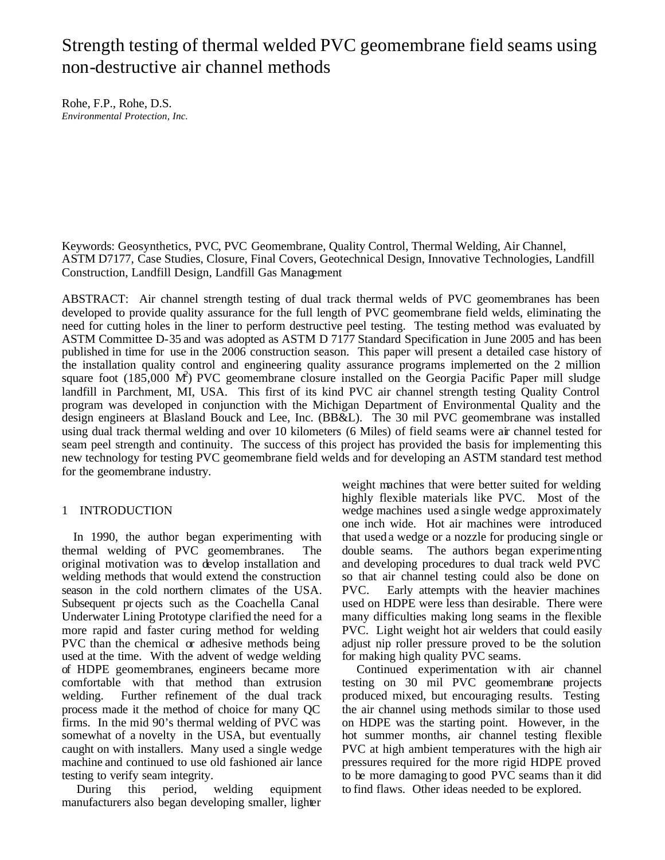# Strength testing of thermal welded PVC geomembrane field seams using non-destructive air channel methods

Rohe, F.P., Rohe, D.S. *Environmental Protection, Inc.*

Keywords: Geosynthetics, PVC, PVC Geomembrane, Quality Control, Thermal Welding, Air Channel, ASTM D7177, Case Studies, Closure, Final Covers, Geotechnical Design, Innovative Technologies, Landfill Construction, Landfill Design, Landfill Gas Management

ABSTRACT: Air channel strength testing of dual track thermal welds of PVC geomembranes has been developed to provide quality assurance for the full length of PVC geomembrane field welds, eliminating the need for cutting holes in the liner to perform destructive peel testing. The testing method was evaluated by ASTM Committee D-35 and was adopted as ASTM D 7177 Standard Specification in June 2005 and has been published in time for use in the 2006 construction season. This paper will present a detailed case history of the installation quality control and engineering quality assurance programs implemented on the 2 million square foot  $(185,000 \text{ M}^2)$  PVC geomembrane closure installed on the Georgia Pacific Paper mill sludge landfill in Parchment, MI, USA. This first of its kind PVC air channel strength testing Quality Control program was developed in conjunction with the Michigan Department of Environmental Quality and the design engineers at Blasland Bouck and Lee, Inc. (BB&L). The 30 mil PVC geomembrane was installed using dual track thermal welding and over 10 kilometers (6 Miles) of field seams were air channel tested for seam peel strength and continuity. The success of this project has provided the basis for implementing this new technology for testing PVC geomembrane field welds and for developing an ASTM standard test method for the geomembrane industry.

## 1 INTRODUCTION

In 1990, the author began experimenting with thermal welding of PVC geomembranes. The original motivation was to develop installation and welding methods that would extend the construction season in the cold northern climates of the USA. Subsequent pr ojects such as the Coachella Canal Underwater Lining Prototype clarified the need for a more rapid and faster curing method for welding PVC than the chemical or adhesive methods being used at the time. With the advent of wedge welding of HDPE geomembranes, engineers became more comfortable with that method than extrusion welding. Further refinement of the dual track process made it the method of choice for many QC firms. In the mid 90's thermal welding of PVC was somewhat of a novelty in the USA, but eventually caught on with installers. Many used a single wedge machine and continued to use old fashioned air lance testing to verify seam integrity.

During this period, welding equipment manufacturers also began developing smaller, lighter weight machines that were better suited for welding highly flexible materials like PVC. Most of the wedge machines used a single wedge approximately one inch wide. Hot air machines were introduced that used a wedge or a nozzle for producing single or double seams. The authors began experimenting and developing procedures to dual track weld PVC so that air channel testing could also be done on PVC. Early attempts with the heavier machines used on HDPE were less than desirable. There were many difficulties making long seams in the flexible PVC. Light weight hot air welders that could easily adjust nip roller pressure proved to be the solution for making high quality PVC seams.

Continued experimentation w ith air channel testing on 30 mil PVC geomembrane projects produced mixed, but encouraging results. Testing the air channel using methods similar to those used on HDPE was the starting point. However, in the hot summer months, air channel testing flexible PVC at high ambient temperatures with the high air pressures required for the more rigid HDPE proved to be more damaging to good PVC seams than it did to find flaws. Other ideas needed to be explored.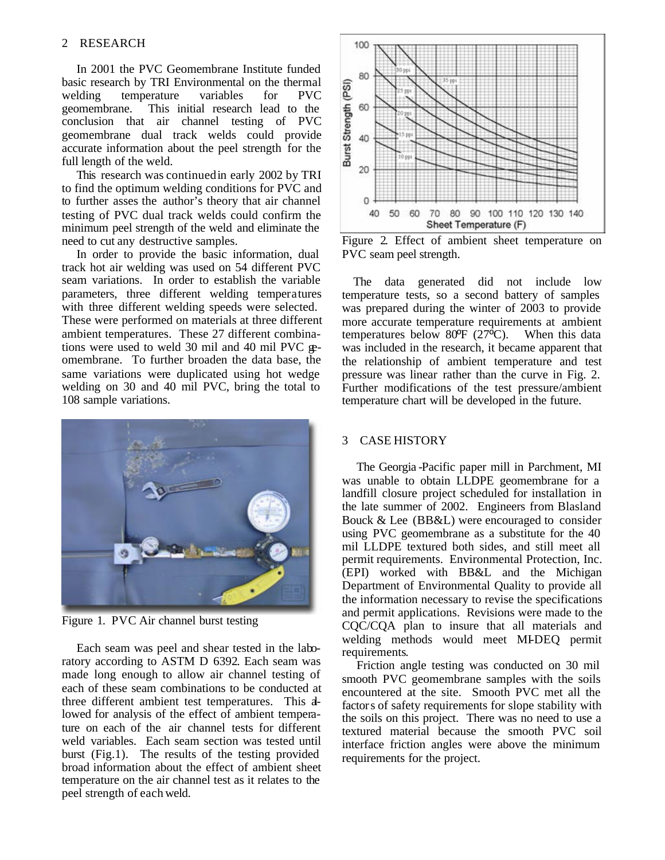In 2001 the PVC Geomembrane Institute funded basic research by TRI Environmental on the thermal welding temperature variables for PVC geomembrane. This initial research lead to the conclusion that air channel testing of PVC geomembrane dual track welds could provide accurate information about the peel strength for the full length of the weld.

This research was continued in early 2002 by TRI to find the optimum welding conditions for PVC and to further asses the author's theory that air channel testing of PVC dual track welds could confirm the minimum peel strength of the weld and eliminate the need to cut any destructive samples.

In order to provide the basic information, dual track hot air welding was used on 54 different PVC seam variations. In order to establish the variable parameters, three different welding temperatures with three different welding speeds were selected. These were performed on materials at three different ambient temperatures. These 27 different combinations were used to weld 30 mil and 40 mil PVC geomembrane. To further broaden the data base, the same variations were duplicated using hot wedge welding on 30 and 40 mil PVC, bring the total to 108 sample variations.



Figure 1. PVC Air channel burst testing

Each seam was peel and shear tested in the laboratory according to ASTM D 6392. Each seam was made long enough to allow air channel testing of each of these seam combinations to be conducted at three different ambient test temperatures. This allowed for analysis of the effect of ambient temperature on each of the air channel tests for different weld variables. Each seam section was tested until burst (Fig.1). The results of the testing provided broad information about the effect of ambient sheet temperature on the air channel test as it relates to the peel strength of each weld.



Figure 2. Effect of ambient sheet temperature on PVC seam peel strength.

The data generated did not include low temperature tests, so a second battery of samples was prepared during the winter of 2003 to provide more accurate temperature requirements at ambient temperatures below 80 $\overline{P}$  (27 $\overline{O}$ ). When this data was included in the research, it became apparent that the relationship of ambient temperature and test pressure was linear rather than the curve in Fig. 2. Further modifications of the test pressure/ambient temperature chart will be developed in the future.

## 3 CASE HISTORY

The Georgia -Pacific paper mill in Parchment, MI was unable to obtain LLDPE geomembrane for a landfill closure project scheduled for installation in the late summer of 2002. Engineers from Blasland Bouck & Lee (BB&L) were encouraged to consider using PVC geomembrane as a substitute for the 40 mil LLDPE textured both sides, and still meet all permit requirements. Environmental Protection, Inc. (EPI) worked with BB&L and the Michigan Department of Environmental Quality to provide all the information necessary to revise the specifications and permit applications. Revisions were made to the CQC/CQA plan to insure that all materials and welding methods would meet MI-DEQ permit requirements.

Friction angle testing was conducted on 30 mil smooth PVC geomembrane samples with the soils encountered at the site. Smooth PVC met all the factors of safety requirements for slope stability with the soils on this project. There was no need to use a textured material because the smooth PVC soil interface friction angles were above the minimum requirements for the project.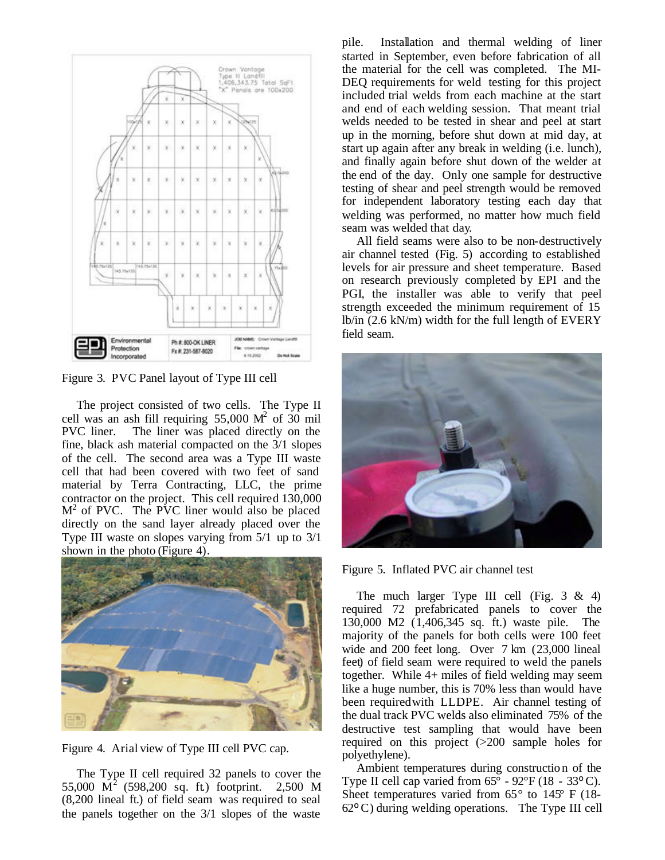

Figure 3. PVC Panel layout of Type III cell

The project consisted of two cells. The Type II cell was an ash fill requiring  $55,000 \text{ M}^2$  of 30 mil PVC liner. The liner was placed directly on the fine, black ash material compacted on the 3/1 slopes of the cell. The second area was a Type III waste cell that had been covered with two feet of sand material by Terra Contracting, LLC, the prime contractor on the project. This cell required 130,000  $M<sup>2</sup>$  of PVC. The PVC liner would also be placed directly on the sand layer already placed over the Type III waste on slopes varying from 5/1 up to 3/1 shown in the photo (Figure 4).



Figure 4. Arial view of Type III cell PVC cap.

The Type II cell required 32 panels to cover the 55,000  $\dot{M}^2$  (598,200 sq. ft.) footprint. 2,500 M (8,200 lineal ft.) of field seam was required to seal the panels together on the 3/1 slopes of the waste pile. Installation and thermal welding of liner started in September, even before fabrication of all the material for the cell was completed. The MI-DEQ requirements for weld testing for this project included trial welds from each machine at the start and end of each welding session. That meant trial welds needed to be tested in shear and peel at start up in the morning, before shut down at mid day, at start up again after any break in welding (i.e. lunch), and finally again before shut down of the welder at the end of the day. Only one sample for destructive testing of shear and peel strength would be removed for independent laboratory testing each day that welding was performed, no matter how much field seam was welded that day.

All field seams were also to be non-destructively air channel tested (Fig. 5) according to established levels for air pressure and sheet temperature. Based on research previously completed by EPI and the PGI, the installer was able to verify that peel strength exceeded the minimum requirement of 15 lb/in (2.6 kN/m) width for the full length of EVERY field seam.



Figure 5. Inflated PVC air channel test

The much larger Type III cell (Fig.  $3 \& 4$ ) required 72 prefabricated panels to cover the 130,000 M2 (1,406,345 sq. ft.) waste pile. The majority of the panels for both cells were 100 feet wide and 200 feet long. Over 7 km (23,000 lineal feet) of field seam were required to weld the panels together. While 4+ miles of field welding may seem like a huge number, this is 70% less than would have been required with LLDPE. Air channel testing of the dual track PVC welds also eliminated 75% of the destructive test sampling that would have been required on this project (>200 sample holes for polyethylene).

Ambient temperatures during constructio n of the Type II cell cap varied from  $65^{\circ}$  - 92°F (18 - 33°C). Sheet temperatures varied from  $65^{\circ}$  to  $145^{\circ}$  F (18- $62^{\circ}$  C) during welding operations. The Type III cell